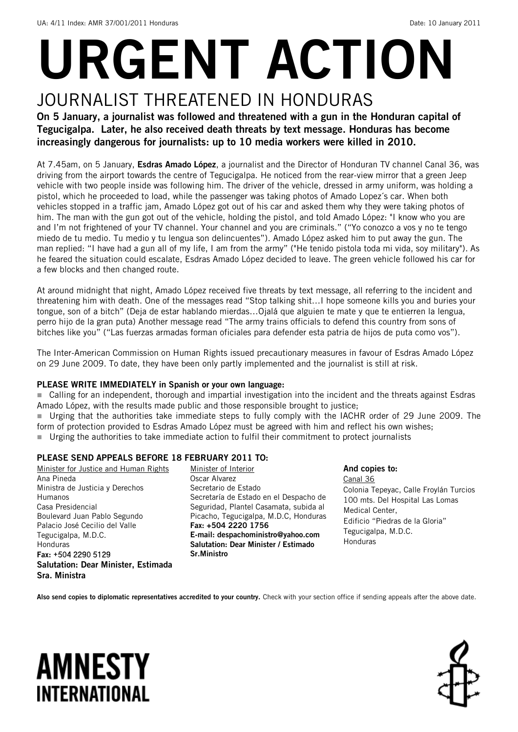# URGENT ACTION

## JOURNALIST THREATENED IN HONDURAS

On 5 January, a journalist was followed and threatened with a gun in the Honduran capital of Tegucigalpa. Later, he also received death threats by text message. Honduras has become increasingly dangerous for journalists: up to 10 media workers were killed in 2010.

At 7.45am, on 5 January, Esdras Amado López, a journalist and the Director of Honduran TV channel Canal 36, was driving from the airport towards the centre of Tegucigalpa. He noticed from the rear-view mirror that a green Jeep vehicle with two people inside was following him. The driver of the vehicle, dressed in army uniform, was holding a pistol, which he proceeded to load, while the passenger was taking photos of Amado Lopez´s car. When both vehicles stopped in a traffic jam, Amado López got out of his car and asked them why they were taking photos of him. The man with the gun got out of the vehicle, holding the pistol, and told Amado López: "I know who you are and I'm not frightened of your TV channel. Your channel and you are criminals." ("Yo conozco a vos y no te tengo miedo de tu medio. Tu medio y tu lengua son delincuentes"). Amado López asked him to put away the gun. The man replied: "I have had a gun all of my life, I am from the army" ("He tenido pistola toda mi vida, soy military"). As he feared the situation could escalate, Esdras Amado López decided to leave. The green vehicle followed his car for a few blocks and then changed route.

At around midnight that night, Amado López received five threats by text message, all referring to the incident and threatening him with death. One of the messages read "Stop talking shit…I hope someone kills you and buries your tongue, son of a bitch" (Deja de estar hablando mierdas…Ojalá que alguien te mate y que te entierren la lengua, perro hijo de la gran puta) Another message read "The army trains officials to defend this country from sons of bitches like you" ("Las fuerzas armadas forman oficiales para defender esta patria de hijos de puta como vos").

The Inter-American Commission on Human Rights issued precautionary measures in favour of Esdras Amado López on 29 June 2009. To date, they have been only partly implemented and the journalist is still at risk.

### PLEASE WRITE IMMEDIATELY in Spanish or your own language:

 Calling for an independent, thorough and impartial investigation into the incident and the threats against Esdras Amado López, with the results made public and those responsible brought to justice;

 Urging that the authorities take immediate steps to fully comply with the IACHR order of 29 June 2009. The form of protection provided to Esdras Amado López must be agreed with him and reflect his own wishes;

Urging the authorities to take immediate action to fulfil their commitment to protect journalists

### PLEASE SEND APPEALS BEFORE 18 FEBRUARY 2011 TO:

Minister for Justice and Human Rights Ana Pineda Ministra de Justicia y Derechos Humanos Casa Presidencial Boulevard Juan Pablo Segundo Palacio José Cecilio del Valle Tegucigalpa, M.D.C. Honduras Fax: +504 2290 5129 Salutation: Dear Minister, Estimada Sra. Ministra

Minister of Interior Oscar Alvarez Secretario de Estado Secretaría de Estado en el Despacho de Seguridad, Plantel Casamata, subida al Picacho, Tegucigalpa, M.D.C, Honduras Fax: +504 2220 1756 E-mail: [despachoministro@yahoo.com](mailto:despachoministro@yahoo.com) Salutation: Dear Minister / Estimado Sr.Ministro

And copies to: Canal 36 Colonia Tepeyac, Calle Froylán Turcios 100 mts. Del Hospital Las Lomas Medical Center, Edificio "Piedras de la Gloria" Tegucigalpa, M.D.C. Honduras

Also send copies to diplomatic representatives accredited to your country. Check with your section office if sending appeals after the above date.

# **AMNESTY** INTERNATIONAL